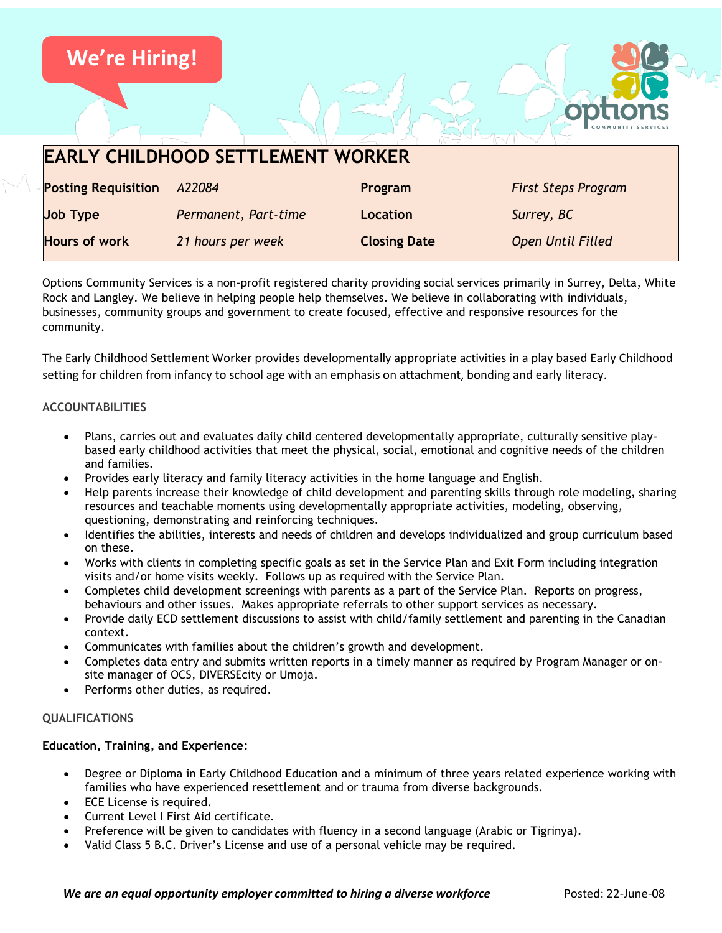

| <b>EARLY CHILDHOOD SETTLEMENT WORKER</b> |                      |                     |                            |
|------------------------------------------|----------------------|---------------------|----------------------------|
| <b>Posting Requisition</b>               | A22084               | Program             | <b>First Steps Program</b> |
| <b>Job Type</b>                          | Permanent, Part-time | <b>Location</b>     | Surrey, BC                 |
| <b>Hours of work</b>                     | 21 hours per week    | <b>Closing Date</b> | Open Until Filled          |

Options Community Services is a non-profit registered charity providing social services primarily in Surrey, Delta, White Rock and Langley. We believe in helping people help themselves. We believe in collaborating with individuals, businesses, community groups and government to create focused, effective and responsive resources for the community.

The Early Childhood Settlement Worker provides developmentally appropriate activities in a play based Early Childhood setting for children from infancy to school age with an emphasis on attachment, bonding and early literacy.

# **ACCOUNTABILITIES**

- Plans, carries out and evaluates daily child centered developmentally appropriate, culturally sensitive playbased early childhood activities that meet the physical, social, emotional and cognitive needs of the children and families.
- Provides early literacy and family literacy activities in the home language and English.
- Help parents increase their knowledge of child development and parenting skills through role modeling, sharing resources and teachable moments using developmentally appropriate activities, modeling, observing, questioning, demonstrating and reinforcing techniques.
- Identifies the abilities, interests and needs of children and develops individualized and group curriculum based on these.
- Works with clients in completing specific goals as set in the Service Plan and Exit Form including integration visits and/or home visits weekly. Follows up as required with the Service Plan.
- Completes child development screenings with parents as a part of the Service Plan. Reports on progress, behaviours and other issues. Makes appropriate referrals to other support services as necessary.
- Provide daily ECD settlement discussions to assist with child/family settlement and parenting in the Canadian context.
- Communicates with families about the children's growth and development.
- Completes data entry and submits written reports in a timely manner as required by Program Manager or onsite manager of OCS, DIVERSEcity or Umoja.
- Performs other duties, as required.

### **QUALIFICATIONS**

# **Education, Training, and Experience:**

- Degree or Diploma in Early Childhood Education and a minimum of three years related experience working with families who have experienced resettlement and or trauma from diverse backgrounds.
- ECE License is required.
- Current Level I First Aid certificate.
- Preference will be given to candidates with fluency in a second language (Arabic or Tigrinya).
- Valid Class 5 B.C. Driver's License and use of a personal vehicle may be required.